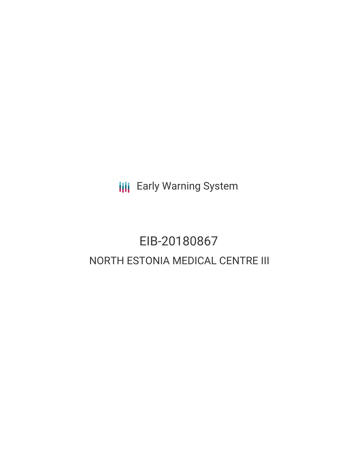**III** Early Warning System

# EIB-20180867 NORTH ESTONIA MEDICAL CENTRE III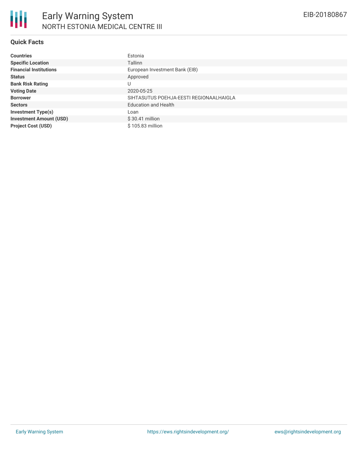### **Quick Facts**

| <b>Countries</b>               | Estonia                                 |
|--------------------------------|-----------------------------------------|
| <b>Specific Location</b>       | Tallinn                                 |
| <b>Financial Institutions</b>  | European Investment Bank (EIB)          |
| <b>Status</b>                  | Approved                                |
| <b>Bank Risk Rating</b>        | U                                       |
| <b>Voting Date</b>             | 2020-05-25                              |
| <b>Borrower</b>                | SIHTASUTUS POEHJA-EESTI REGIONAALHAIGLA |
| <b>Sectors</b>                 | <b>Education and Health</b>             |
| <b>Investment Type(s)</b>      | Loan                                    |
| <b>Investment Amount (USD)</b> | $$30.41$ million                        |
| <b>Project Cost (USD)</b>      | \$105.83 million                        |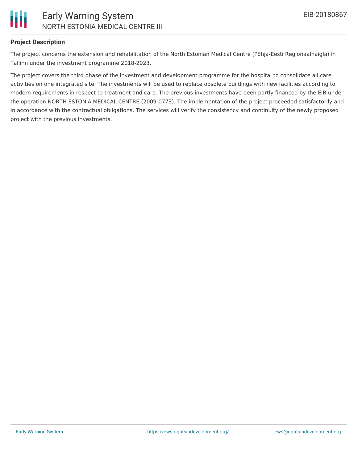

### **Project Description**

The project concerns the extension and rehabilitation of the North Estonian Medical Centre (Põhja-Eesti Regionaalhaigla) in Tallinn under the investment programme 2018-2023.

The project covers the third phase of the investment and development programme for the hospital to consolidate all care activities on one integrated site. The investments will be used to replace obsolete buildings with new facilities according to modern requirements in respect to treatment and care. The previous investments have been partly financed by the EIB under the operation NORTH ESTONIA MEDICAL CENTRE (2009-0773). The implementation of the project proceeded satisfactorily and in accordance with the contractual obligations. The services will verify the consistency and continuity of the newly proposed project with the previous investments.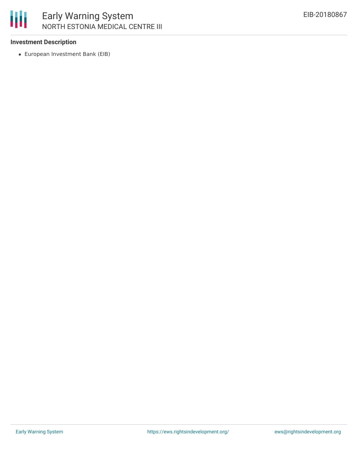

## **Investment Description**

European Investment Bank (EIB)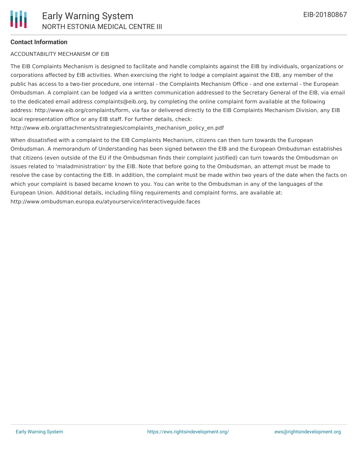### **Contact Information**

#### ACCOUNTABILITY MECHANISM OF EIB

The EIB Complaints Mechanism is designed to facilitate and handle complaints against the EIB by individuals, organizations or corporations affected by EIB activities. When exercising the right to lodge a complaint against the EIB, any member of the public has access to a two-tier procedure, one internal - the Complaints Mechanism Office - and one external - the European Ombudsman. A complaint can be lodged via a written communication addressed to the Secretary General of the EIB, via email to the dedicated email address complaints@eib.org, by completing the online complaint form available at the following address: http://www.eib.org/complaints/form, via fax or delivered directly to the EIB Complaints Mechanism Division, any EIB local representation office or any EIB staff. For further details, check:

http://www.eib.org/attachments/strategies/complaints\_mechanism\_policy\_en.pdf

When dissatisfied with a complaint to the EIB Complaints Mechanism, citizens can then turn towards the European Ombudsman. A memorandum of Understanding has been signed between the EIB and the European Ombudsman establishes that citizens (even outside of the EU if the Ombudsman finds their complaint justified) can turn towards the Ombudsman on issues related to 'maladministration' by the EIB. Note that before going to the Ombudsman, an attempt must be made to resolve the case by contacting the EIB. In addition, the complaint must be made within two years of the date when the facts on which your complaint is based became known to you. You can write to the Ombudsman in any of the languages of the European Union. Additional details, including filing requirements and complaint forms, are available at: http://www.ombudsman.europa.eu/atyourservice/interactiveguide.faces